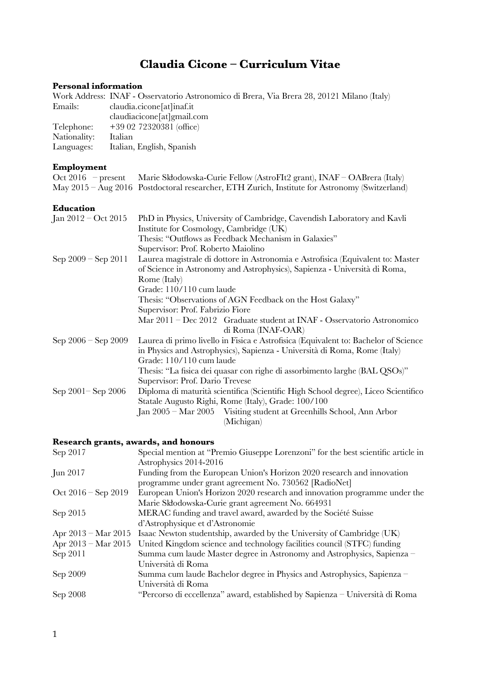# **Claudia Cicone – Curriculum Vitae**

## **Personal information**

|              | Work Address: INAF - Osservatorio Astronomico di Brera, Via Brera 28, 20121 Milano (Italy) |
|--------------|--------------------------------------------------------------------------------------------|
| Emails:      | claudia.cicone[at]inaf.it                                                                  |
|              | claudiacicone[at]gmail.com                                                                 |
| Telephone:   | $+390272320381$ (office)                                                                   |
| Nationality: | Italian                                                                                    |
| Languages:   | Italian, English, Spanish                                                                  |

## **Employment**

| Oct 2016 – present Marie Skłodowska-Curie Fellow (AstroFIt2 grant), INAF – OABrera (Italy)     |
|------------------------------------------------------------------------------------------------|
| May 2015 – Aug 2016 Postdoctoral researcher, ETH Zurich, Institute for Astronomy (Switzerland) |

#### **Education**

| Jan $2012 - Oct 2015$   | PhD in Physics, University of Cambridge, Cavendish Laboratory and Kavli             |
|-------------------------|-------------------------------------------------------------------------------------|
|                         | Institute for Cosmology, Cambridge (UK)                                             |
|                         | Thesis: "Outflows as Feedback Mechanism in Galaxies"                                |
|                         | Supervisor: Prof. Roberto Maiolino                                                  |
| Sep $2009 -$ Sep $2011$ | Laurea magistrale di dottore in Astronomia e Astrofisica (Equivalent to: Master     |
|                         | of Science in Astronomy and Astrophysics), Sapienza - Università di Roma,           |
|                         | Rome (Italy)                                                                        |
|                         | Grade: 110/110 cum laude                                                            |
|                         | Thesis: "Observations of AGN Feedback on the Host Galaxy"                           |
|                         | Supervisor: Prof. Fabrizio Fiore                                                    |
|                         | Mar 2011 - Dec 2012 Graduate student at INAF - Osservatorio Astronomico             |
|                         | di Roma (INAF-OAR)                                                                  |
| Sep $2006 -$ Sep $2009$ | Laurea di primo livello in Fisica e Astrofisica (Equivalent to: Bachelor of Science |
|                         | in Physics and Astrophysics), Sapienza - Università di Roma, Rome (Italy)           |
|                         | Grade: 110/110 cum laude                                                            |
|                         | Thesis: "La fisica dei quasar con righe di assorbimento larghe (BAL QSOs)"          |
|                         | Supervisor: Prof. Dario Trevese                                                     |
| Sep 2001 – Sep 2006     | Diploma di maturità scientifica (Scientific High School degree), Liceo Scientifico  |
|                         | Statale Augusto Righi, Rome (Italy), Grade: 100/100                                 |
|                         | Jan 2005 - Mar 2005 Visiting student at Greenhills School, Ann Arbor                |
|                         | (Michigan)                                                                          |
|                         |                                                                                     |

#### **Research grants, awards, and honours**

| Sep 2017                      | Special mention at "Premio Giuseppe Lorenzoni" for the best scientific article in |
|-------------------------------|-----------------------------------------------------------------------------------|
|                               | Astrophysics 2014-2016                                                            |
| Jun 2017                      | Funding from the European Union's Horizon 2020 research and innovation            |
|                               | programme under grant agreement No. 730562 [RadioNet]                             |
| Oct $2016 -$ Sep $2019$       | European Union's Horizon 2020 research and innovation programme under the         |
|                               | Marie Skłodowska-Curie grant agreement No. 664931                                 |
| Sep 2015                      | MERAC funding and travel award, awarded by the Société Suisse                     |
|                               | d'Astrophysique et d'Astronomie                                                   |
| Apr $2013 - \text{Mar } 2015$ | Isaac Newton studentship, awarded by the University of Cambridge (UK)             |
| Apr $2013 - \text{Mar } 2015$ | United Kingdom science and technology facilities council (STFC) funding           |
| Sep 2011                      | Summa cum laude Master degree in Astronomy and Astrophysics, Sapienza –           |
|                               | Università di Roma                                                                |
| Sep 2009                      | Summa cum laude Bachelor degree in Physics and Astrophysics, Sapienza –           |
|                               | Università di Roma                                                                |
| Sep 2008                      | "Percorso di eccellenza" award, established by Sapienza - Università di Roma      |
|                               |                                                                                   |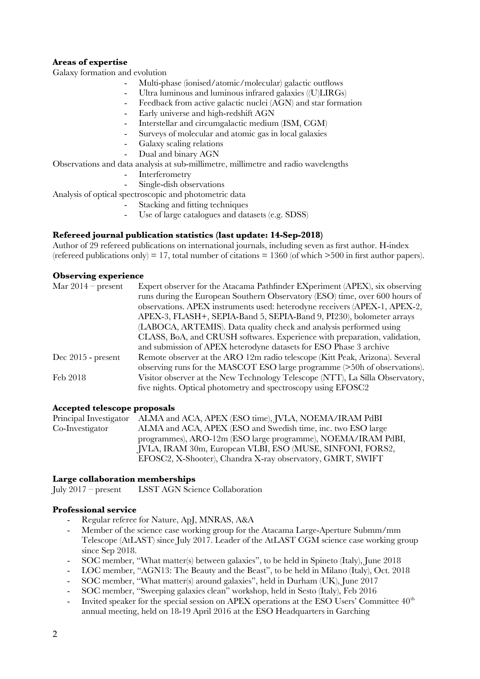#### **Areas of expertise**

Galaxy formation and evolution

- Multi-phase (ionised/atomic/molecular) galactic outflows
- Ultra luminous and luminous infrared galaxies ((U)LIRGs)
- Feedback from active galactic nuclei (AGN) and star formation
- Early universe and high-redshift AGN
- Interstellar and circumgalactic medium (ISM, CGM)
- Surveys of molecular and atomic gas in local galaxies
- Galaxy scaling relations
- Dual and binary AGN

Observations and data analysis at sub-millimetre, millimetre and radio wavelengths

- **Interferometry**
- Single-dish observations

Analysis of optical spectroscopic and photometric data

- Stacking and ftting techniques
- Use of large catalogues and datasets (e.g. SDSS)

#### **Refereed journal publication statistics (last update: 14-Sep-2018)**

Author of 29 refereed publications on international journals, including seven as frst author. H-index (refereed publications only) = 17, total number of citations = 1360 (of which  $>500$  in first author papers).

#### **Observing experience**

| Mar $2014$ – present | Expert observer for the Atacama Pathfinder EXperiment (APEX), six observing   |
|----------------------|-------------------------------------------------------------------------------|
|                      | runs during the European Southern Observatory (ESO) time, over 600 hours of   |
|                      | observations. APEX instruments used: heterodyne receivers (APEX-1, APEX-2,    |
|                      | APEX-3, FLASH+, SEPIA-Band 5, SEPIA-Band 9, PI230), bolometer arrays          |
|                      | (LABOCA, ARTEMIS). Data quality check and analysis performed using            |
|                      | CLASS, BoA, and CRUSH softwares. Experience with preparation, validation,     |
|                      | and submission of APEX heterodyne datasets for ESO Phase 3 archive            |
| $Dec 2015$ - present | Remote observer at the ARO 12m radio telescope (Kitt Peak, Arizona). Several  |
|                      | observing runs for the MASCOT ESO large programme (>50h of observations).     |
| Feb 2018             | Visitor observer at the New Technology Telescope (NTT), La Silla Observatory, |
|                      | five nights. Optical photometry and spectroscopy using EFOSC2                 |

#### **Accepted telescope proposals**

Principal Investigator ALMA and ACA, APEX (ESO time), JVLA, NOEMA/IRAM PdBI Co-Investigator ALMA and ACA, APEX (ESO and Swedish time, inc. two ESO large programmes), ARO-12m (ESO large programme), NOEMA/IRAM PdBI, JVLA, IRAM 30m, European VLBI, ESO (MUSE, SINFONI, FORS2, EFOSC2, X-Shooter), Chandra X-ray observatory, GMRT, SWIFT

#### **Large collaboration memberships**

July 2017 – present LSST AGN Science Collaboration

#### **Professional service**

- Regular referee for Nature, ApJ, MNRAS, A&A
- Member of the science case working group for the Atacama Large-Aperture Submm/mm Telescope (AtLAST) since July 2017. Leader of the AtLAST CGM science case working group since Sep 2018.
- SOC member, "What matter(s) between galaxies", to be held in Spineto (Italy), June 2018
- LOC member, "AGN13: The Beauty and the Beast", to be held in Milano (Italy), Oct. 2018
- SOC member, "What matter(s) around galaxies", held in Durham (UK), June 2017
- SOC member, "Sweeping galaxies clean" workshop, held in Sesto (Italy), Feb 2016
- Invited speaker for the special session on APEX operations at the ESO Users' Committee  $40<sup>th</sup>$ annual meeting, held on 18-19 April 2016 at the ESO Headquarters in Garching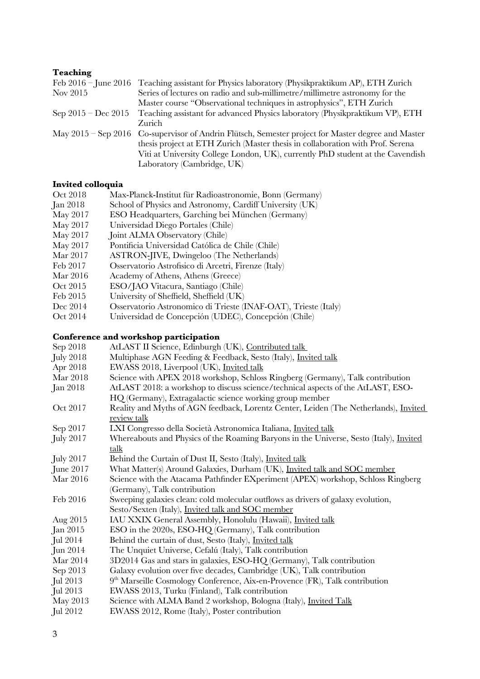#### **Teaching**

|                       | Feb $2016$ – June 2016 – Teaching assistant for Physics laboratory (Physikpraktikum AP), ETH Zurich |
|-----------------------|-----------------------------------------------------------------------------------------------------|
| Nov 2015              | Series of lectures on radio and sub-millimetre/millimetre astronomy for the                         |
|                       | Master course "Observational techniques in astrophysics", ETH Zurich                                |
| Sep $2015 - Dec 2015$ | Teaching assistant for advanced Physics laboratory (Physikpraktikum VP), ETH                        |
|                       | Zurich                                                                                              |
|                       | May 2015 – Sep 2016 Co-supervisor of Andrin Flütsch, Semester project for Master degree and Master  |
|                       | thesis project at ETH Zurich (Master thesis in collaboration with Prof. Serena                      |
|                       | Viti at University College London, UK), currently PhD student at the Cavendish                      |
|                       | Laboratory (Cambridge, UK)                                                                          |
|                       |                                                                                                     |

#### **Invited colloquia**

- Oct 2018 Max-Planck-Institut für Radioastronomie, Bonn (Germany)
- School of Physics and Astronomy, Cardiff University (UK)
- May 2017 ESO Headquarters, Garching bei München (Germany)
- May 2017 Universidad Diego Portales (Chile)<br>May 2017 Joint ALMA Observatory (Chile)
- Joint ALMA Observatory (Chile)
- May 2017 Pontificia Universidad Católica de Chile (Chile)<br>Mar 2017 ASTRON-JIVE, Dwingeloo (The Netherlands)
- ASTRON-JIVE, Dwingeloo (The Netherlands)
- Feb 2017 Osservatorio Astrofsico di Arcetri, Firenze (Italy)
- Mar 2016 Academy of Athens, Athens (Greece)
- Oct 2015 ESO/JAO Vitacura, Santiago (Chile)
- Feb 2015 University of Sheffeld, Sheffeld (UK)
- Dec 2014 Osservatorio Astronomico di Trieste (INAF-OAT), Trieste (Italy)
- Oct 2014 Universidad de Concepción (UDEC), Concepción (Chile)

#### **Conference and workshop participation**

| Sep 2018         | AtLAST II Science, Edinburgh (UK), Contributed talk                                           |
|------------------|-----------------------------------------------------------------------------------------------|
| <b>July 2018</b> | Multiphase AGN Feeding & Feedback, Sesto (Italy), <i>Invited talk</i>                         |
| Apr 2018         | EWASS 2018, Liverpool (UK), Invited talk                                                      |
| Mar 2018         | Science with APEX 2018 workshop, Schloss Ringberg (Germany), Talk contribution                |
| <b>Jan 2018</b>  | AtLAST 2018: a workshop to discuss science/technical aspects of the AtLAST, ESO-              |
|                  | HQ (Germany), Extragalactic science working group member                                      |
| Oct 2017         | Reality and Myths of AGN feedback, Lorentz Center, Leiden (The Netherlands), <i>Invited</i>   |
|                  | review talk                                                                                   |
| Sep 2017         | LXI Congresso della Società Astronomica Italiana, Invited talk                                |
| <b>July 2017</b> | Whereabouts and Physics of the Roaming Baryons in the Universe, Sesto (Italy), <i>Invited</i> |
|                  | talk                                                                                          |
| <b>July 2017</b> | Behind the Curtain of Dust II, Sesto (Italy), Invited talk                                    |
| June 2017        | What Matter(s) Around Galaxies, Durham (UK), Invited talk and SOC member                      |
| Mar 2016         | Science with the Atacama Pathfinder EXperiment (APEX) workshop, Schloss Ringberg              |
|                  | (Germany), Talk contribution                                                                  |
| Feb 2016         | Sweeping galaxies clean: cold molecular outflows as drivers of galaxy evolution,              |
|                  | Sesto/Sexten (Italy), <i>Invited talk and SOC member</i>                                      |
| Aug 2015         | IAU XXIX General Assembly, Honolulu (Hawaii), Invited talk                                    |
| Jan 2015         | ESO in the 2020s, ESO-HQ (Germany), Talk contribution                                         |
| Jul 2014         | Behind the curtain of dust, Sesto (Italy), Invited talk                                       |
| Jun 2014         | The Unquiet Universe, Cefalú (Italy), Talk contribution                                       |
| Mar 2014         | 3D2014 Gas and stars in galaxies, ESO-HQ (Germany), Talk contribution                         |
| Sep 2013         | Galaxy evolution over five decades, Cambridge (UK), Talk contribution                         |
| Jul 2013         | 9 <sup>th</sup> Marseille Cosmology Conference, Aix-en-Provence (FR), Talk contribution       |
| Jul 2013         | EWASS 2013, Turku (Finland), Talk contribution                                                |
| May 2013         | Science with ALMA Band 2 workshop, Bologna (Italy), Invited Talk                              |
| Jul 2012         | EWASS 2012, Rome (Italy), Poster contribution                                                 |
|                  |                                                                                               |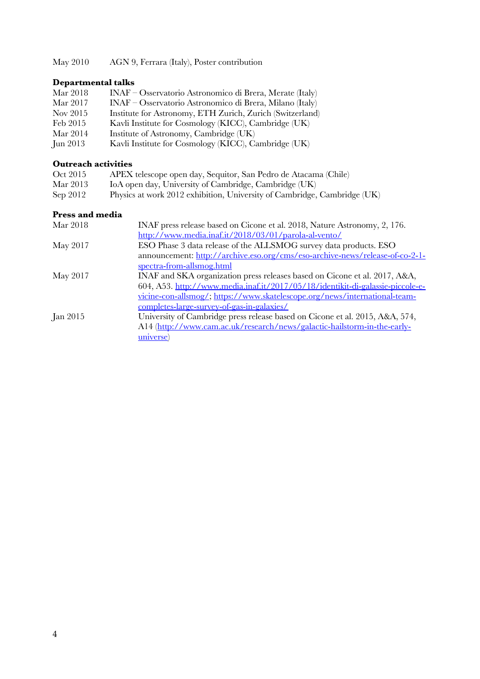May 2010 AGN 9, Ferrara (Italy), Poster contribution

## **Departmental talks**

| Mar 2018 | INAF – Osservatorio Astronomico di Brera, Merate (Italy)  |
|----------|-----------------------------------------------------------|
| Mar 2017 | INAF – Osservatorio Astronomico di Brera, Milano (Italy)  |
| Nov 2015 | Institute for Astronomy, ETH Zurich, Zurich (Switzerland) |
| Feb 2015 | Kavli Institute for Cosmology (KICC), Cambridge (UK)      |
| Mar 2014 | Institute of Astronomy, Cambridge (UK)                    |
| Jun 2013 | Kavli Institute for Cosmology (KICC), Cambridge (UK)      |

## **Outreach activities**

| Oct 2015 | APEX telescope open day, Sequitor, San Pedro de Atacama (Chile)          |
|----------|--------------------------------------------------------------------------|
| Mar 2013 | IoA open day, University of Cambridge, Cambridge (UK)                    |
| Sep 2012 | Physics at work 2012 exhibition, University of Cambridge, Cambridge (UK) |

### **Press and media**

| Mar 2018        | INAF press release based on Cicone et al. 2018, Nature Astronomy, 2, 176.      |
|-----------------|--------------------------------------------------------------------------------|
|                 | http://www.media.inaf.it/2018/03/01/parola-al-vento/                           |
| May 2017        | ESO Phase 3 data release of the ALLSMOG survey data products. ESO              |
|                 | announcement: http://archive.eso.org/cms/eso-archive-news/release-of-co-2-1-   |
|                 | spectra-from-allsmog.html                                                      |
| May 2017        | INAF and SKA organization press releases based on Cicone et al. 2017, A&A,     |
|                 | 604, A53. http://www.media.inaf.it/2017/05/18/identikit-di-galassie-piccole-e- |
|                 | vicine-con-allsmog/; https://www.skatelescope.org/news/international-team-     |
|                 | completes-large-survey-of-gas-in-galaxies/                                     |
| <b>Jan 2015</b> | University of Cambridge press release based on Cicone et al. 2015, A&A, 574,   |
|                 | A14 (http://www.cam.ac.uk/research/news/galactic-hailstorm-in-the-early-       |
|                 | universe)                                                                      |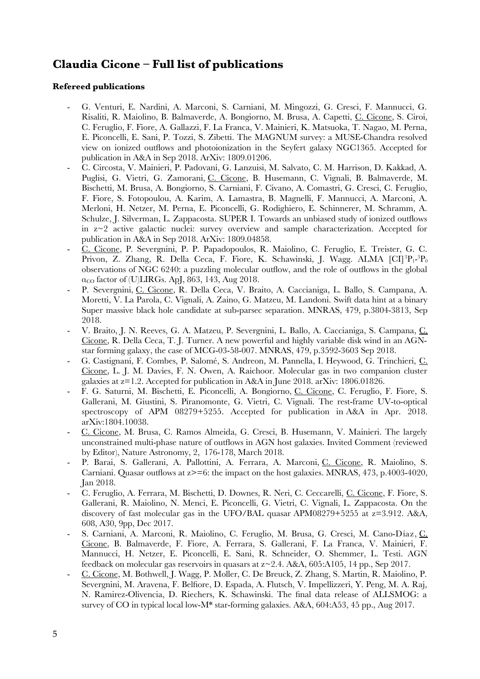## **Claudia Cicone – Full list of publications**

#### **Refereed publications**

- G. Venturi, E. Nardini, A. Marconi, S. Carniani, M. Mingozzi, G. Cresci, F. Mannucci, G. Risaliti, R. Maiolino, B. Balmaverde, A. Bongiorno, M. Brusa, A. Capetti, C. Cicone, S. Ciroi, C. Feruglio, F. Fiore, A. Gallazzi, F. La Franca, V. Mainieri, K. Matsuoka, T. Nagao, M. Perna, E. Piconcelli, E. Sani, P. Tozzi, S. Zibetti. The MAGNUM survey: a MUSE-Chandra resolved view on ionized outfows and photoionization in the Seyfert galaxy NGC1365. Accepted for publication in A&A in Sep 2018. ArXiv: 1809.01206.
- C. Circosta, V. Mainieri, P. Padovani, G. Lanzuisi, M. Salvato, C. M. Harrison, D. Kakkad, A. Puglisi, G. Vietri, G. Zamorani, C. Cicone, B. Husemann, C. Vignali, B. Balmaverde, M. Bischetti, M. Brusa, A. Bongiorno, S. Carniani, F. Civano, A. Comastri, G. Cresci, C. Feruglio, F. Fiore, S. Fotopoulou, A. Karim, A. Lamastra, B. Magnelli, F. Mannucci, A. Marconi, A. Merloni, H. Netzer, M. Perna, E. Piconcelli, G. Rodighiero, E. Schinnerer, M. Schramm, A. Schulze, J. Silverman, L. Zappacosta. SUPER I. Towards an unbiased study of ionized outfows in z~2 active galactic nuclei: survey overview and sample characterization. Accepted for publication in A&A in Sep 2018. ArXiv: 1809.04858.
- C. Cicone, P. Severgnini, P. P. Papadopoulos, R. Maiolino, C. Feruglio, E. Treister, G. C. Privon, Z. Zhang, R. Della Ceca, F. Fiore, K. Schawinski, J. Wagg. ALMA [CI]<sup>3</sup>P<sub>1</sub>-<sup>3</sup>P<sub>0</sub> observations of NGC 6240: a puzzling molecular outfow, and the role of outfows in the global  $\alpha_{\rm CO}$  factor of (U)LIRGs. ApJ, 863, 143, Aug 2018.
- P. Severgnini, C. Cicone, R. Della Ceca, V. Braito, A. Caccianiga, L. Ballo, S. Campana, A. Moretti, V. La Parola, C. Vignali, A. Zaino, G. Matzeu, M. Landoni. Swift data hint at a binary Super massive black hole candidate at sub-parsec separation. MNRAS, 479, p.3804-3813, Sep 2018.
- V. Braito, J. N. Reeves, G. A. Matzeu, P. Severgnini, L. Ballo, A. Caccianiga, S. Campana, C. Cicone, R. Della Ceca, T. J. Turner. A new powerful and highly variable disk wind in an AGNstar forming galaxy, the case of MCG-03-58-007. MNRAS, 479, p.3592-3603 Sep 2018.
- G. Castignani, F. Combes, P. Salomé, S. Andreon, M. Pannella, I. Heywood, G. Trinchieri, C. Cicone, L. J. M. Davies, F. N. Owen, A. Raichoor. Molecular gas in two companion cluster galaxies at z=1.2. Accepted for publication in A&A in June 2018. arXiv: 1806.01826.
- F. G. Saturni, M. Bischetti, E. Piconcelli, A. Bongiorno, C. Cicone, C. Feruglio, F. Fiore, S. Gallerani, M. Giustini, S. Piranomonte, G. Vietri, C. Vignali. The rest-frame UV-to-optical spectroscopy of APM 08279+5255. Accepted for publication in A&A in Apr. 2018. arXiv:1804.10038.
- C. Cicone, M. Brusa, C. Ramos Almeida, G. Cresci, B. Husemann, V. Mainieri. The largely unconstrained multi-phase nature of outfows in AGN host galaxies. Invited Comment (reviewed by Editor), Nature Astronomy, 2, 176-178, March 2018.
- P. Barai, S. Gallerani, A. Pallottini, A. Ferrara, A. Marconi, C. Cicone, R. Maiolino, S. Carniani. Quasar outflows at  $z\geq 6$ : the impact on the host galaxies. MNRAS, 473, p.4003-4020, Jan 2018.
- C. Feruglio, A. Ferrara, M. Bischetti, D. Downes, R. Neri, C. Ceccarelli, C. Cicone, F. Fiore, S. Gallerani, R. Maiolino, N. Menci, E. Piconcelli, G. Vietri, C. Vignali, L. Zappacosta. On the discovery of fast molecular gas in the UFO/BAL quasar APM08279+5255 at z=3.912. A&A, 608, A30, 9pp, Dec 2017.
- S. Carniani, A. Marconi, R. Maiolino, C. Feruglio, M. Brusa, G. Cresci, M. Cano-Díaz, C. Cicone, B. Balmaverde, F. Fiore, A. Ferrara, S. Gallerani, F. La Franca, V. Mainieri, F. Mannucci, H. Netzer, E. Piconcelli, E. Sani, R. Schneider, O. Shemmer, L. Testi. AGN feedback on molecular gas reservoirs in quasars at  $z \sim 2.4$ . A&A, 605:A105, 14 pp., Sep 2017.
- C. Cicone, M. Bothwell, J. Wagg, P. Moller, C. De Breuck, Z. Zhang, S. Martin, R. Maiolino, P. Severgnini, M. Aravena, F. Belfore, D. Espada, A. Flutsch, V. Impellizzeri, Y. Peng, M. A. Raj, N. Ramirez-Olivencia, D. Riechers, K. Schawinski. The fnal data release of ALLSMOG: a survey of CO in typical local low-M\* star-forming galaxies. A&A, 604:A53, 45 pp., Aug 2017.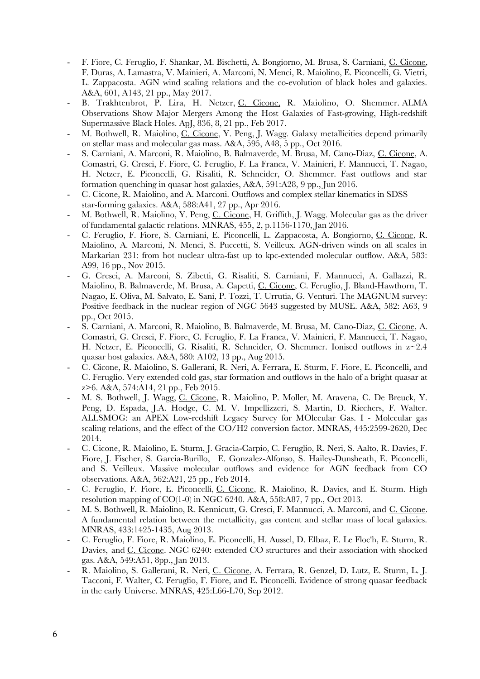- F. Fiore, C. Feruglio, F. Shankar, M. Bischetti, A. Bongiorno, M. Brusa, S. Carniani, C. Cicone, F. Duras, A. Lamastra, V. Mainieri, A. Marconi, N. Menci, R. Maiolino, E. Piconcelli, G. Vietri, L. Zappacosta. AGN wind scaling relations and the co-evolution of black holes and galaxies. A&A, 601, A143, 21 pp., May 2017.
- B. Trakhtenbrot, P. Lira, H. Netzer, C. Cicone, R. Maiolino, O. Shemmer. ALMA Observations Show Major Mergers Among the Host Galaxies of Fast-growing, High-redshift Supermassive Black Holes. ApJ, 836, 8, 21 pp., Feb 2017.
- M. Bothwell, R. Maiolino, C. Cicone, Y. Peng, J. Wagg. Galaxy metallicities depend primarily on stellar mass and molecular gas mass. A&A, 595, A48, 5 pp., Oct 2016.
- S. Carniani, A. Marconi, R. Maiolino, B. Balmaverde, M. Brusa, M. Cano-Diaz, C. Cicone, A. Comastri, G. Cresci, F. Fiore, C. Feruglio, F. La Franca, V. Mainieri, F. Mannucci, T. Nagao, H. Netzer, E. Piconcelli, G. Risaliti, R. Schneider, O. Shemmer. Fast outfows and star formation quenching in quasar host galaxies, A&A, 591:A28, 9 pp., Jun 2016.
- C. Cicone, R. Maiolino, and A. Marconi. Outfows and complex stellar kinematics in SDSS star-forming galaxies. A&A, 588:A41, 27 pp., Apr 2016.
- M. Bothwell, R. Maiolino, Y. Peng, C. Cicone, H. Griffth, J. Wagg. Molecular gas as the driver of fundamental galactic relations. MNRAS, 455, 2, p.1156-1170, Jan 2016.
- C. Feruglio, F. Fiore, S. Carniani, E. Piconcelli, L. Zappacosta, A. Bongiorno, C. Cicone, R. Maiolino, A. Marconi, N. Menci, S. Puccetti, S. Veilleux. AGN-driven winds on all scales in Markarian 231: from hot nuclear ultra-fast up to kpc-extended molecular outfow. A&A, 583: A99, 16 pp., Nov 2015.
- G. Cresci, A. Marconi, S. Zibetti, G. Risaliti, S. Carniani, F. Mannucci, A. Gallazzi, R. Maiolino, B. Balmaverde, M. Brusa, A. Capetti, C. Cicone, C. Feruglio, J. Bland-Hawthorn, T. Nagao, E. Oliva, M. Salvato, E. Sani, P. Tozzi, T. Urrutia, G. Venturi. The MAGNUM survey: Positive feedback in the nuclear region of NGC 5643 suggested by MUSE. A&A, 582: A63, 9 pp., Oct 2015.
- S. Carniani, A. Marconi, R. Maiolino, B. Balmaverde, M. Brusa, M. Cano-Diaz, C. Cicone, A. Comastri, G. Cresci, F. Fiore, C. Feruglio, F. La Franca, V. Mainieri, F. Mannucci, T. Nagao, H. Netzer, E. Piconcelli, G. Risaliti, R. Schneider, O. Shemmer. Ionised outfows in z~2.4 quasar host galaxies. A&A, 580: A102, 13 pp., Aug 2015.
- C. Cicone, R. Maiolino, S. Gallerani, R. Neri, A. Ferrara, E. Sturm, F. Fiore, E. Piconcelli, and C. Feruglio. Very extended cold gas, star formation and outfows in the halo of a bright quasar at z>6. A&A, 574:A14, 21 pp., Feb 2015.
- M. S. Bothwell, J. Wagg, C. Cicone, R. Maiolino, P. Moller, M. Aravena, C. De Breuck, Y. Peng, D. Espada, J.A. Hodge, C. M. V. Impellizzeri, S. Martin, D. Riechers, F. Walter. ALLSMOG: an APEX Low-redshift Legacy Survey for MOlecular Gas. I - Molecular gas scaling relations, and the effect of the CO/H2 conversion factor. MNRAS, 445:2599-2620, Dec 2014.
- C. Cicone, R. Maiolino, E. Sturm, J. Gracia-Carpio, C. Feruglio, R. Neri, S. Aalto, R. Davies, F. Fiore, J. Fischer, S. Garcia-Burillo, E. Gonzalez-Alfonso, S. Hailey-Dunsheath, E. Piconcelli, and S. Veilleux. Massive molecular outfows and evidence for AGN feedback from CO observations. A&A, 562:A21, 25 pp., Feb 2014.
- C. Feruglio, F. Fiore, E. Piconcelli, C. Cicone, R. Maiolino, R. Davies, and E. Sturm. High resolution mapping of CO(1-0) in NGC 6240. A&A, 558:A87, 7 pp., Oct 2013.
- M. S. Bothwell, R. Maiolino, R. Kennicutt, G. Cresci, F. Mannucci, A. Marconi, and C. Cicone. A fundamental relation between the metallicity, gas content and stellar mass of local galaxies. MNRAS, 433:1425-1435, Aug 2013.
- C. Feruglio, F. Fiore, R. Maiolino, E. Piconcelli, H. Aussel, D. Elbaz, E. Le Floc'h, E. Sturm, R. Davies, and C. Cicone. NGC 6240: extended CO structures and their association with shocked gas. A&A, 549:A51, 8pp., Jan 2013.
- R. Maiolino, S. Gallerani, R. Neri, C. Cicone, A. Ferrara, R. Genzel, D. Lutz, E. Sturm, L. J. Tacconi, F. Walter, C. Feruglio, F. Fiore, and E. Piconcelli. Evidence of strong quasar feedback in the early Universe. MNRAS, 425:L66-L70, Sep 2012.